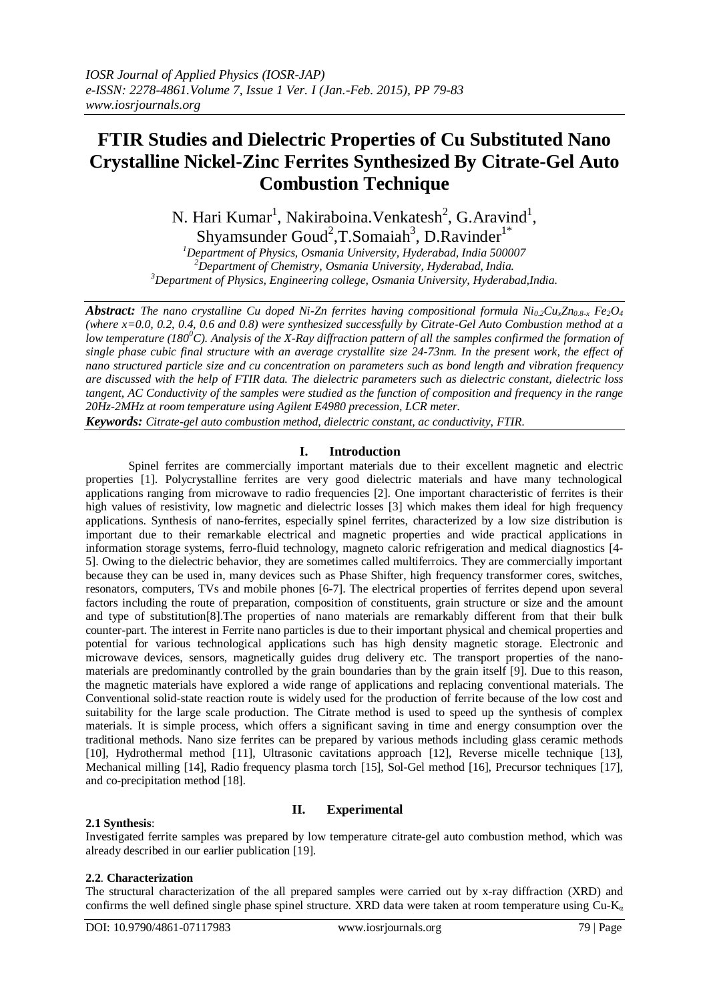# **FTIR Studies and Dielectric Properties of Cu Substituted Nano Crystalline Nickel-Zinc Ferrites Synthesized By Citrate-Gel Auto Combustion Technique**

N. Hari Kumar<sup>1</sup>, Nakiraboina. Venkatesh<sup>2</sup>, G. Aravind<sup>1</sup>, Shyamsunder Goud<sup>2</sup>, T. Somaiah<sup>3</sup>, D. Ravinder<sup>1\*</sup>

*<sup>1</sup>Department of Physics, Osmania University, Hyderabad, India 500007 <sup>2</sup>Department of Chemistry, Osmania University, Hyderabad, India. <sup>3</sup>Department of Physics, Engineering college, Osmania University, Hyderabad,India.*

*Abstract: The nano crystalline Cu doped Ni-Zn ferrites having compositional formula* $Ni_{0.2}Cu_{x}Zn_{0.8-x}$  $Fe_{2}O_{4}$ *(where x=0.0, 0.2, 0.4, 0.6 and 0.8) were synthesized successfully by Citrate-Gel Auto Combustion method at a low temperature (180<sup>0</sup>C). Analysis of the X-Ray diffraction pattern of all the samples confirmed the formation of single phase cubic final structure with an average crystallite size 24-73nm. In the present work, the effect of nano structured particle size and cu concentration on parameters such as bond length and vibration frequency are discussed with the help of FTIR data. The dielectric parameters such as dielectric constant, dielectric loss tangent, AC Conductivity of the samples were studied as the function of composition and frequency in the range 20Hz-2MHz at room temperature using Agilent E4980 precession, LCR meter.*

*Keywords: Citrate-gel auto combustion method, dielectric constant, ac conductivity, FTIR*.

# **I. Introduction**

Spinel ferrites are commercially important materials due to their excellent magnetic and electric properties [1]. Polycrystalline ferrites are very good dielectric materials and have many technological applications ranging from microwave to radio frequencies [2]. One important characteristic of ferrites is their high values of resistivity, low magnetic and dielectric losses [3] which makes them ideal for high frequency applications. Synthesis of nano-ferrites, especially spinel ferrites, characterized by a low size distribution is important due to their remarkable electrical and magnetic properties and wide practical applications in information storage systems, ferro-fluid technology, magneto caloric refrigeration and medical diagnostics [4- 5]. Owing to the dielectric behavior, they are sometimes called multiferroics. They are commercially important because they can be used in, many devices such as Phase Shifter, high frequency transformer cores, switches, resonators, computers, TVs and mobile phones [6-7]. The electrical properties of ferrites depend upon several factors including the route of preparation, composition of constituents, grain structure or size and the amount and type of substitution[8].The properties of nano materials are remarkably different from that their bulk counter-part. The interest in Ferrite nano particles is due to their important physical and chemical properties and potential for various technological applications such has high density magnetic storage. Electronic and microwave devices, sensors, magnetically guides drug delivery etc. The transport properties of the nanomaterials are predominantly controlled by the grain boundaries than by the grain itself [9]. Due to this reason, the magnetic materials have explored a wide range of applications and replacing conventional materials. The Conventional solid-state reaction route is widely used for the production of ferrite because of the low cost and suitability for the large scale production. The Citrate method is used to speed up the synthesis of complex materials. It is simple process, which offers a significant saving in time and energy consumption over the traditional methods. Nano size ferrites can be prepared by various methods including glass ceramic methods [10], Hydrothermal method [11], Ultrasonic cavitations approach [12], Reverse micelle technique [13], Mechanical milling [14], Radio frequency plasma torch [15], Sol-Gel method [16], Precursor techniques [17], and co-precipitation method [18].

# **2.1 Synthesis**:

# **II. Experimental**

Investigated ferrite samples was prepared by low temperature citrate-gel auto combustion method, which was already described in our earlier publication [19].

# **2.2**. **Characterization**

The structural characterization of the all prepared samples were carried out by x-ray diffraction (XRD) and confirms the well defined single phase spinel structure. XRD data were taken at room temperature using  $Cu$ -K<sub>a</sub>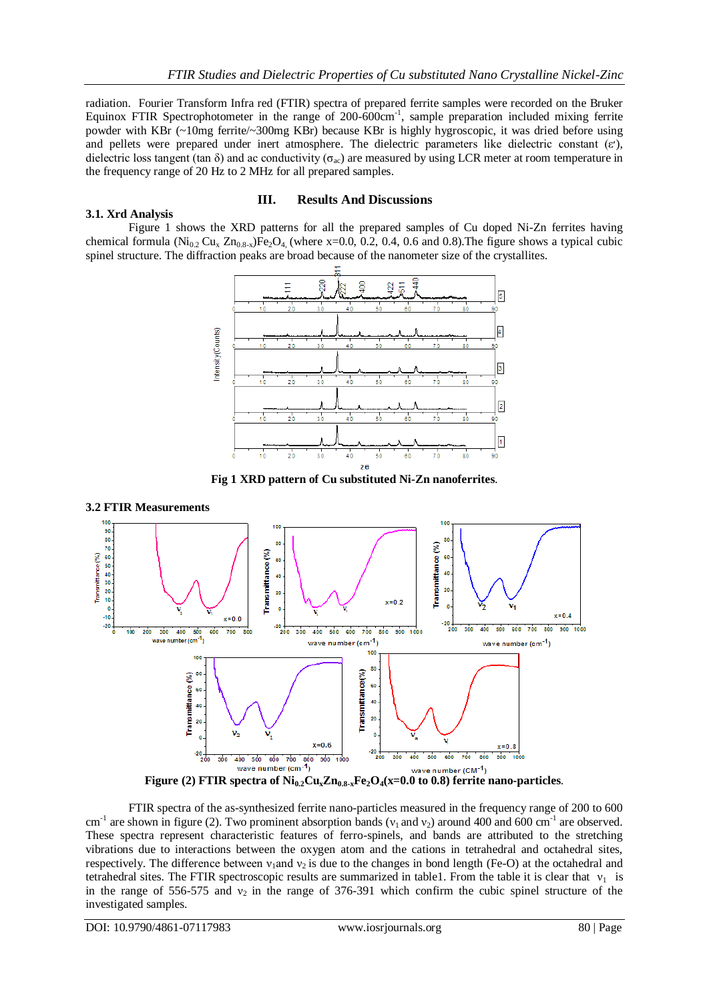radiation. Fourier Transform Infra red (FTIR) spectra of prepared ferrite samples were recorded on the Bruker Equinox FTIR Spectrophotometer in the range of 200-600cm<sup>-1</sup>, sample preparation included mixing ferrite powder with KBr (~10mg ferrite/~300mg KBr) because KBr is highly hygroscopic, it was dried before using and pellets were prepared under inert atmosphere. The dielectric parameters like dielectric constant ( $\varepsilon$ ), dielectric loss tangent (tan  $\delta$ ) and ac conductivity ( $\sigma_{ac}$ ) are measured by using LCR meter at room temperature in the frequency range of 20 Hz to 2 MHz for all prepared samples.

#### **3.1. Xrd Analysis**

# **III. Results And Discussions**

Figure 1 shows the XRD patterns for all the prepared samples of Cu doped Ni-Zn ferrites having chemical formula (Ni<sub>0.2</sub> Cu<sub>x</sub> Zn<sub>0.8-x</sub>)Fe<sub>2</sub>O<sub>4</sub> (where x=0.0, 0.2, 0.4, 0.6 and 0.8). The figure shows a typical cubic spinel structure. The diffraction peaks are broad because of the nanometer size of the crystallites.



**Fig 1 XRD pattern of Cu substituted Ni-Zn nanoferrites**.

#### **3.2 FTIR Measurements**



FTIR spectra of the as-synthesized ferrite nano-particles measured in the frequency range of 200 to 600 cm<sup>-1</sup> are shown in figure (2). Two prominent absorption bands ( $v_1$  and  $v_2$ ) around 400 and 600 cm<sup>-1</sup> are observed. These spectra represent characteristic features of ferro-spinels, and bands are attributed to the stretching vibrations due to interactions between the oxygen atom and the cations in tetrahedral and octahedral sites, respectively. The difference between  $v_1$ and  $v_2$  is due to the changes in bond length (Fe-O) at the octahedral and tetrahedral sites. The FTIR spectroscopic results are summarized in table1. From the table it is clear that  $v_1$  is in the range of 556-575 and  $v_2$  in the range of 376-391 which confirm the cubic spinel structure of the investigated samples.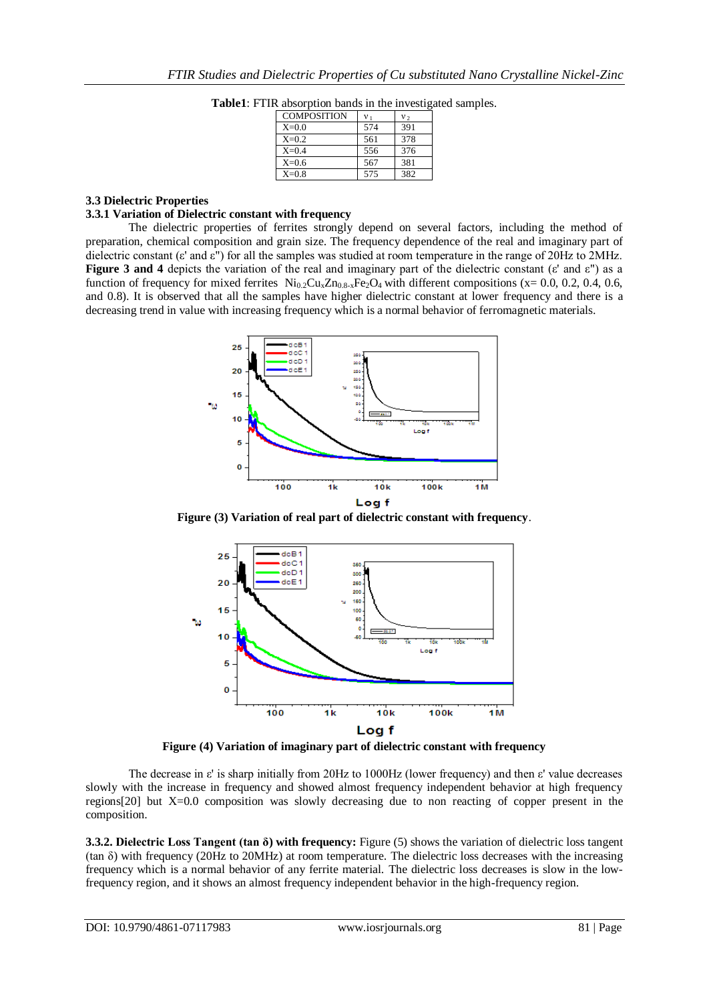| <b>COMPOSITION</b> | V <sub>1</sub> | $v_{2}$ |
|--------------------|----------------|---------|
| $X=0.0$            | 574            | 391     |
| $X=0.2$            | 561            | 378     |
| $X=0.4$            | 556            | 376     |
| $X=0.6$            | 567            | 381     |
| $X=0.8$            | 575            | 382     |

**Table1**: FTIR absorption bands in the investigated samples.

#### **3.3 Dielectric Properties**

#### **3.3.1 Variation of Dielectric constant with frequency**

The dielectric properties of ferrites strongly depend on several factors, including the method of preparation, chemical composition and grain size. The frequency dependence of the real and imaginary part of dielectric constant (ε' and ε") for all the samples was studied at room temperature in the range of 20Hz to 2MHz. **Figure 3 and 4** depicts the variation of the real and imaginary part of the dielectric constant (ε' and ε") as a function of frequency for mixed ferrites  $N_{10.2}Cu_xZn_{0.8-x}Fe_2O_4$  with different compositions (x= 0.0, 0.2, 0.4, 0.6, and 0.8). It is observed that all the samples have higher dielectric constant at lower frequency and there is a decreasing trend in value with increasing frequency which is a normal behavior of ferromagnetic materials.



**Figure (3) Variation of real part of dielectric constant with frequency**.



**Figure (4) Variation of imaginary part of dielectric constant with frequency**

The decrease in ε' is sharp initially from 20Hz to 1000Hz (lower frequency) and then ε' value decreases slowly with the increase in frequency and showed almost frequency independent behavior at high frequency regions[20] but X=0.0 composition was slowly decreasing due to non reacting of copper present in the composition.

**3.3.2. Dielectric Loss Tangent (tan δ) with frequency:** Figure (5) shows the variation of dielectric loss tangent (tan δ) with frequency (20Hz to 20MHz) at room temperature. The dielectric loss decreases with the increasing frequency which is a normal behavior of any ferrite material. The dielectric loss decreases is slow in the lowfrequency region, and it shows an almost frequency independent behavior in the high-frequency region.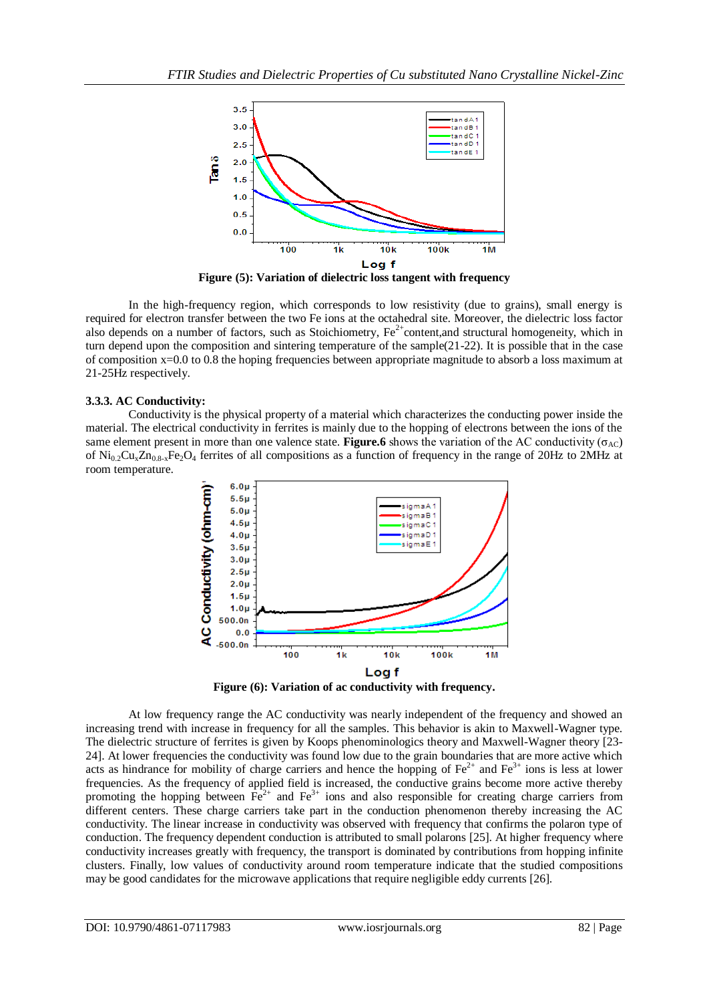

**Figure (5): Variation of dielectric loss tangent with frequency**

In the high-frequency region, which corresponds to low resistivity (due to grains), small energy is required for electron transfer between the two Fe ions at the octahedral site. Moreover, the dielectric loss factor also depends on a number of factors, such as Stoichiometry,  $Fe^{2+}$ content,and structural homogeneity, which in turn depend upon the composition and sintering temperature of the sample(21-22). It is possible that in the case of composition x=0.0 to 0.8 the hoping frequencies between appropriate magnitude to absorb a loss maximum at 21-25Hz respectively.

#### **3.3.3. AC Conductivity:**

Conductivity is the physical property of a material which characterizes the conducting power inside the material. The electrical conductivity in ferrites is mainly due to the hopping of electrons between the ions of the same element present in more than one valence state. **Figure.6** shows the variation of the AC conductivity ( $\sigma_{AC}$ ) of  $\text{Ni}_{0.2}\text{Cu}_{3}\text{Zn}_{0.8-x}\text{Fe}_{2}\text{O}_{4}$  ferrites of all compositions as a function of frequency in the range of 20Hz to 2MHz at room temperature.



**Figure (6): Variation of ac conductivity with frequency.**

At low frequency range the AC conductivity was nearly independent of the frequency and showed an increasing trend with increase in frequency for all the samples. This behavior is akin to Maxwell-Wagner type. The dielectric structure of ferrites is given by Koops phenominologics theory and Maxwell-Wagner theory [23- 24]. At lower frequencies the conductivity was found low due to the grain boundaries that are more active which acts as hindrance for mobility of charge carriers and hence the hopping of  $Fe^{2+}$  and  $Fe^{3+}$  ions is less at lower frequencies. As the frequency of applied field is increased, the conductive grains become more active thereby promoting the hopping between  $\overline{Fe}^{2+}$  and  $\overline{Fe}^{3+}$  ions and also responsible for creating charge carriers from different centers. These charge carriers take part in the conduction phenomenon thereby increasing the AC conductivity. The linear increase in conductivity was observed with frequency that confirms the polaron type of conduction. The frequency dependent conduction is attributed to small polarons [25]. At higher frequency where conductivity increases greatly with frequency, the transport is dominated by contributions from hopping infinite clusters. Finally, low values of conductivity around room temperature indicate that the studied compositions may be good candidates for the microwave applications that require negligible eddy currents [26].